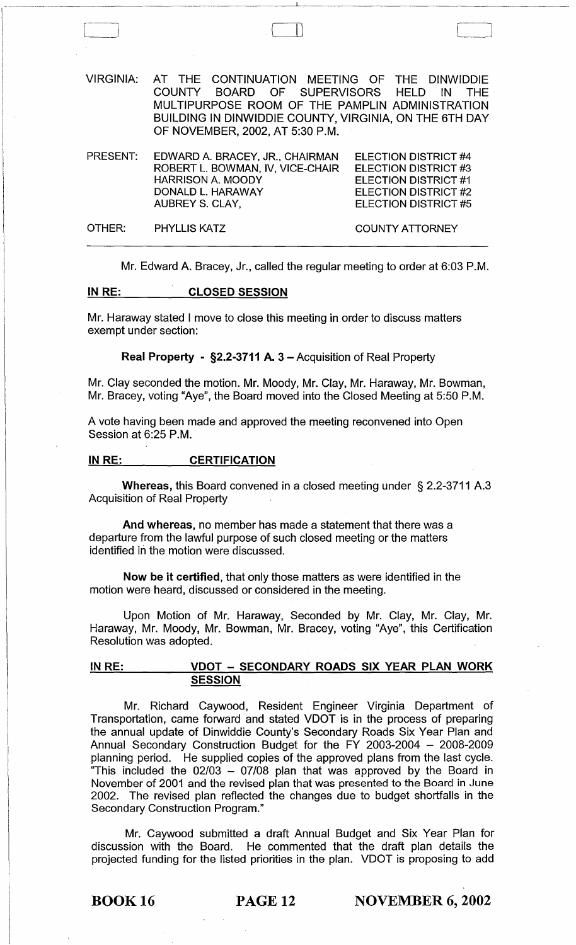| VIRGINIA: | AT THE CONTINUATION MEETING OF THE DINWIDDIE<br>COUNTY BOARD OF SUPERVISORS HELD<br>MULTIPURPOSE ROOM OF THE PAMPLIN ADMINISTRATION<br>BUILDING IN DINWIDDIE COUNTY, VIRGINIA, ON THE 6TH DAY<br>OF NOVEMBER, 2002, AT 5:30 P.M. | – IN<br><b>THF</b>                                                                                                                 |
|-----------|----------------------------------------------------------------------------------------------------------------------------------------------------------------------------------------------------------------------------------|------------------------------------------------------------------------------------------------------------------------------------|
| PRESENT:  | EDWARD A. BRACEY, JR., CHAIRMAN<br>ROBERT L. BOWMAN, IV, VICE-CHAIR<br><b>HARRISON A. MOODY</b><br>DONALD L. HARAWAY<br>AUBREY S. CLAY,                                                                                          | ELECTION DISTRICT #4<br>ELECTION DISTRICT #3<br><b>ELECTION DISTRICT #1</b><br><b>ELECTION DISTRICT #2</b><br>ELECTION DISTRICT #5 |
| OTHER:    | <b>PHYLLIS KATZ</b>                                                                                                                                                                                                              | <b>COUNTY ATTORNEY</b>                                                                                                             |

 $\Box$ 

Mr. Edward A. Bracey, Jr., called the regular meeting to order at 6:03 P.M.

# INRE: CLOSED SESSION

Mr. Haraway stated I move to close this meeting in order to discuss matters exempt under section:

Real Property - §2.2-3711 A. 3 - Acquisition of Real Property

Mr. Clay seconded the motion. Mr. Moody, Mr. Clay, Mr. Haraway, Mr. Bowman, Mr. Bracey, voting "Aye", the Board moved into the Closed Meeting at 5:50 P.M.

A vote having been made and approved the meeting reconvened into Open Session at 6:25 P.M.

### IN RE: CERTIFICATION

Whereas, this Board convened in a closed meeting under § 2.2-3711 A.3 Acquisition of Real Property

And whereas, no member has made a statement that there was a departure from the lawful purpose of such closed meeting or the matters identified in the motion were discussed.

Now be it certified, that only those matters as were identified in the motion were heard, discussed or considered in the meeting.

Upon Motion of Mr. Haraway, Seconded by Mr. Clay, Mr. Clay, Mr. Haraway, Mr. Moody, Mr. Bowman, Mr. Bracey, voting "Aye", this Certification Resolution was adopted.

# IN RE: VDOT - SECONDARY ROADS SIX YEAR PLAN WORK **SESSION**

Mr. Richard Caywood, Resident Engineer Virginia Department of Transportation, came forward and stated VDOT is in the process of preparing the annual update of Dinwiddie County's Secondary Roads Six Year Plan and Annual Secondary Construction Budget for the FY 2003-2004 - 2008-2009 planning period. He supplied copies of the approved plans from the last cycle. "This included the *02/03* - *07/08* plan that was approved by the Board in November of 2001 and the revised plan that was presented to the Board in June 2002. The revised plan reflected the changes due to budget shortfalls in the Secondary Construction Program."

Mr. Caywood submitted a draft Annual Budget and Six Year Plan for discussion with the Board. He commented that the draft plan details the projected funding for the listed priorities in the plan. VDOT is proposing to add

**BOOK 16 PAGE 12** NOVEMBER 6, 2002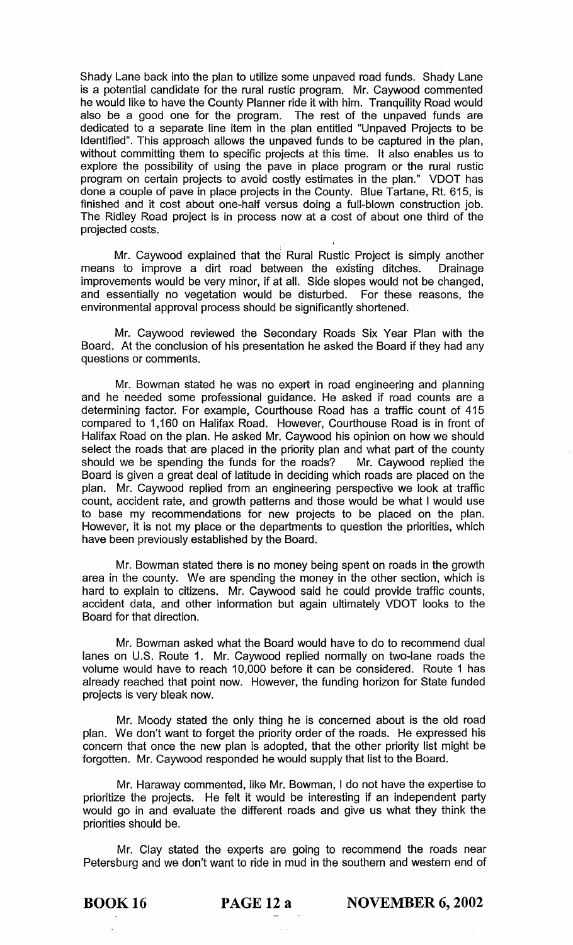Shady Lane back into the plan to utilize some unpaved road funds. Shady Lane is a potential candidate for the rural rustic program. Mr. Caywood commented he would like to have the County Planner ride it with him. Tranquility Road would also be a good one for the program. The rest of the unpaved funds are dedicated to a separate line item in the plan entitled "Unpaved Projects to be Identified". This approach allows the unpaved funds to be captured in the plan, without committing them to specific projects at this time. It also enables us to explore the possibility of using the pave in place program or the rural rustic program on certain projects to avoid costly estimates in the plan." VDOT has done a couple of pave in place projects in the County. Blue Tartane, Rt. 615, is finished and it cost about one-half versus doing a full-blown construction job. The Ridley Road project is in process now at a cost of about one third of the projected costs.

Mr. Caywood explained that the Rural Rustic Project is simply another means to improve a dirt road between the existing ditches. Drainage improvements would be very minor, if at all. Side slopes would not be changed, and essentially no vegetation would be disturbed. For these reasons, the environmental approval process should be significantly shortened.

Mr. Caywood reviewed the Secondary Roads Six Year Plan with the Board. At the conclusion of his presentation he asked the Board if they had any questions or comments.

Mr. Bowman stated he was no expert in road engineering and planning and he needed some professional guidance. He asked if road counts are a determining factor. For example, Courthouse Road has a traffic count of 415 compared to 1,160 on Halifax Road. However, Courthouse Road is in front of Halifax Road on the plan. He asked Mr. Caywood his opinion on how we should select the roads that are placed in the priority plan and what part of the county should we be spending the funds for the roads? Mr. Caywood replied the Board is given a great deal of latitude in deciding which roads are placed on the plan. Mr. Caywood replied from an engineering perspective we look at traffic count, accident rate, and growth patterns and those would be what I would use to base my recommendations for new projects to be placed on the plan. However, it is not my place or the departments to question the priorities, which have been previously established by the Board.

Mr. Bowman stated there is no money being spent on roads in the growth area in the county. We are spending the money in the other section, which is hard to explain to citizens. Mr. Caywood said he could provide traffic counts, accident data, and other information but again ultimately VDOT looks to the Board for that direction.

Mr. Bowman asked what the Board would have to do to recommend dual lanes on U.S. Route 1. Mr. Caywood replied normally on two-lane roads the volume would have to reach 10,000 before it can be considered. Route 1 has already reached that point now. However, the funding horizon for State funded projects is very bleak now.

Mr. Moody stated the only thing he is concerned about is the old road plan. We don't want to forget the priority order of the roads. He expressed his concern that once the new plan is adopted, that the other priority list might be forgotten. Mr. Caywood responded he would supply that list to the Board.

Mr. Haraway commented, like Mr. Bowman, I do not have the expertise to prioritize the projects. He felt it would be interesting if an independent party would go in and evaluate the different roads and give us what they think the priorities should be.

Mr. Clay stated the experts are going to recommend the roads near Petersburg and we don't want to ride in mud in the southern and western end of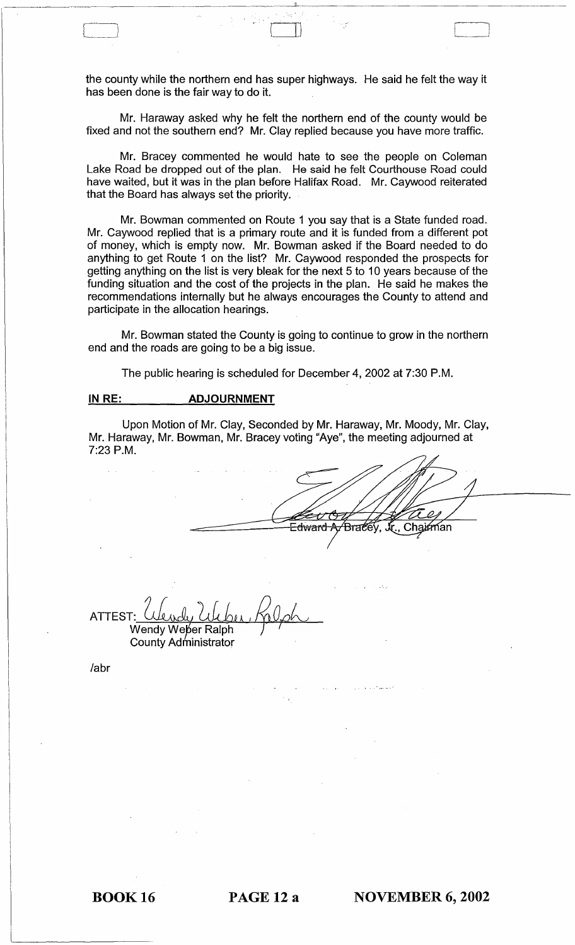the county while the northern end has super highways. He said he felt the way it has been done is the fair way to do it.

-------------------------------------------~.----~--------------------------------

)

Mr. Haraway asked why he felt the northern end of the county would be fixed and not the southern end? Mr. Clay replied because you have more traffic.

Mr. Bracey commented he would hate to see the people on Coleman Lake Road be dropped out of the plan. He said he felt Courthouse Road could have waited, but it was in the plan before Halifax Road. Mr. Caywood reiterated that the Board has always set the priority.

Mr. Bowman commented on Route 1 you say that is a State funded road. Mr. Caywood replied that is a primary route and it is funded from a different pot of money, which is empty now. Mr. Bowman asked if the Board needed to do anything to get Route 1 on the list? Mr. Caywood responded the prospects for getting anything on the list is very bleak for the next 5 to 10 years because of the funding situation and the cost of the projects in the plan. He said he makes the recommendations internally but he always encourages the County to attend and participate in the allocation hearings.

Mr. Bowman stated the County is going to continue to grow in the northern end and the roads are going to be a big issue.

The public hearing is scheduled for December 4,2002 at 7:30 P.M.

# **IN RE: ADJOURNMENT**

Upon Motion of Mr. Clay, Seconded by Mr. Haraway, Mr. Moody, Mr. Clay, Mr. Haraway, Mr. Bowman, Mr. Bracey voting "Aye", the meeting adjourned at 7:23 P.M.

<del>∃dward A</del> Chairman Brace

ATTEST Wendy Weber Ralph

County Administrator

labr